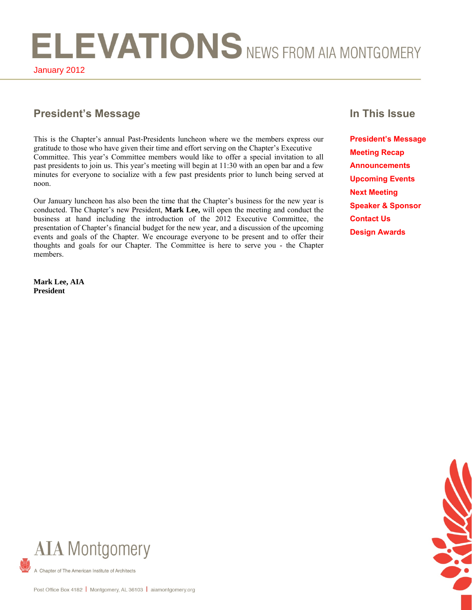ELEVATIONS NEWS FROM AIA MONTGOMERY January 2012

# **President's Message In This Issue**

This is the Chapter's annual Past-Presidents luncheon where we the members express our gratitude to those who have given their time and effort serving on the Chapter's Executive Committee. This year's Committee members would like to offer a special invitation to all past presidents to join us. This year's meeting will begin at 11:30 with an open bar and a few minutes for everyone to socialize with a few past presidents prior to lunch being served at noon.

Our January luncheon has also been the time that the Chapter's business for the new year is conducted. The Chapter's new President, **Mark Lee,** will open the meeting and conduct the business at hand including the introduction of the 2012 Executive Committee, the presentation of Chapter's financial budget for the new year, and a discussion of the upcoming events and goals of the Chapter. We encourage everyone to be present and to offer their thoughts and goals for our Chapter. The Committee is here to serve you - the Chapter members.

**Mark Lee, AIA President** 

**President's Message Meeting Recap Announcements Upcoming Events Next Meeting Speaker & Sponsor Contact Us Design Awards**



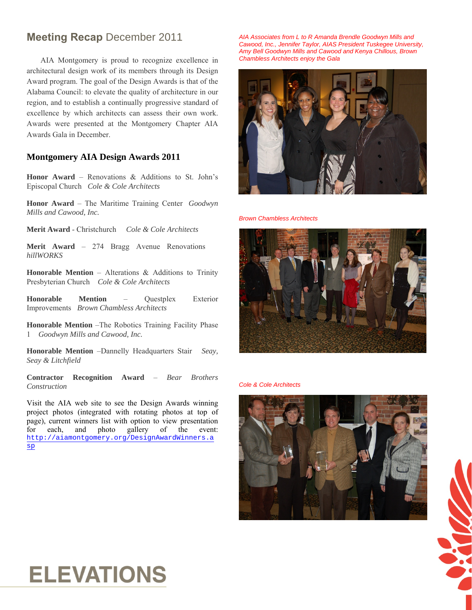# **Meeting Recap** December 2011

AIA Montgomery is proud to recognize excellence in architectural design work of its members through its Design Award program. The goal of the Design Awards is that of the Alabama Council: to elevate the quality of architecture in our region, and to establish a continually progressive standard of excellence by which architects can assess their own work. Awards were presented at the Montgomery Chapter AIA Awards Gala in December.

# **Montgomery AIA Design Awards 2011**

**Honor Award** – Renovations & Additions to St. John's Episcopal Church*Cole & Cole Architects* 

**Honor Award** – The Maritime Training Center*Goodwyn Mills and Cawood, Inc.*

**Merit Award** - Christchurch  *Cole & Cole Architects* 

**Merit Award** – 274 Bragg Avenue Renovations *hillWORKS*

**Honorable Mention** – Alterations & Additions to Trinity Presbyterian Church *Cole & Cole Architects*

**Honorable Mention** – Questplex Exterior Improvements*Brown Chambless Architects* 

**Honorable Mention** –The Robotics Training Facility Phase 1 *Goodwyn Mills and Cawood, Inc.* 

**Honorable Mention** –Dannelly Headquarters Stair *Seay, Seay & Litchfield*

**Contractor Recognition Award** – *Bear Brothers Construction* 

Visit the AIA web site to see the Design Awards winning project photos (integrated with rotating photos at top of page), current winners list with option to view presentation for each, and photo gallery of the event: [http://aiamontgomery.org/DesignAwardWinners.a](http://aiamontgomery.org/DesignAwardWinners.asp) [sp](http://aiamontgomery.org/DesignAwardWinners.asp)

*AIA Associates from L to R Amanda Brendle Goodwyn Mills and Cawood, Inc., Jennifer Taylor, AIAS President Tuskegee University, Amy Bell Goodwyn Mills and Cawood and Kenya Chillous, Brown Chambless Architects enjoy the Gala* 



*Brown Chambless Architects* 



*Cole & Cole Architects* 





# **ELEVATIONS**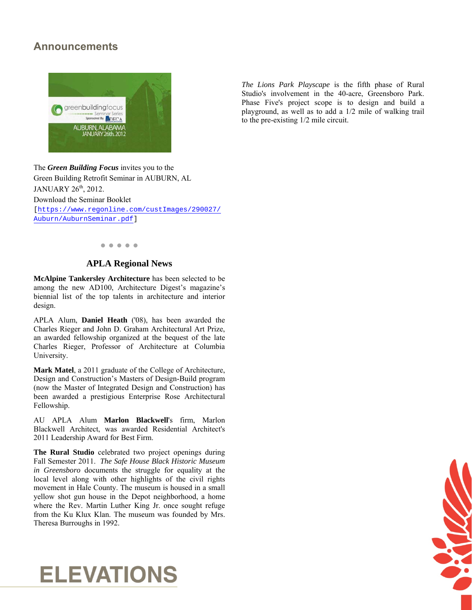# **Announcements**



The *Green Building Focus* invites you to the Green Building Retrofit Seminar in AUBURN, AL JANUARY 26<sup>th</sup>, 2012. Download the Seminar Booklet [\[https://www.regonline.com/custImages/290027/](https://www.regonline.com/custImages/290027/Auburn/AuburnSeminar.pdf) [Auburn/AuburnSeminar.pdf](https://www.regonline.com/custImages/290027/Auburn/AuburnSeminar.pdf)]

# **● ● ● ● ●**

### **APLA Regional News**

**McAlpine Tankersley Architecture** has been selected to be among the new AD100, Architecture Digest's magazine's biennial list of the top talents in architecture and interior design.

APLA Alum, **Daniel Heath** ('08), has been awarded the Charles Rieger and John D. Graham Architectural Art Prize, an awarded fellowship organized at the bequest of the late Charles Rieger, Professor of Architecture at Columbia University.

**Mark Matel**, a 2011 graduate of the College of Architecture, Design and Construction's Masters of Design-Build program (now the Master of Integrated Design and Construction) has been awarded a prestigious Enterprise Rose Architectural Fellowship.

AU APLA Alum **Marlon Blackwell**'s firm, [Marlon](http://www.marlonblackwell.com/)  [Blackwell Architect,](http://www.marlonblackwell.com/) was awarded Residential Architect's 2011 Leadership Award for Best Firm.

**The Rural Studio** celebrated two project openings during Fall Semester 2011. *The Safe House Black Historic Museum in Greensboro* documents the struggle for equality at the local level along with other highlights of the civil rights movement in Hale County. The museum is housed in a small yellow shot gun house in the Depot neighborhood, a home where the Rev. Martin Luther King Jr. once sought refuge from the Ku Klux Klan. The museum was founded by Mrs. Theresa Burroughs in 1992.